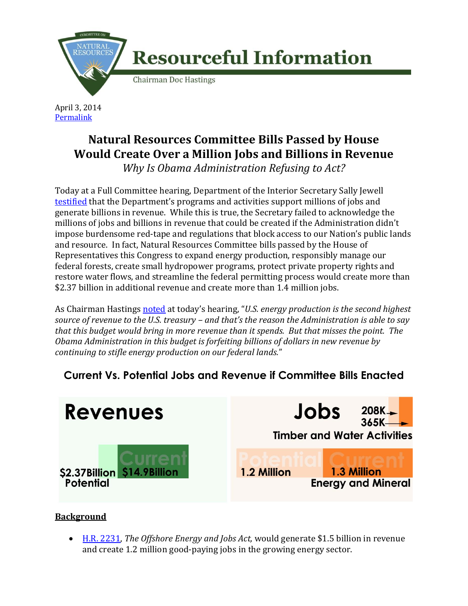

April 3, 2014 **[Permalink](http://naturalresources.house.gov/news/documentsingle.aspx?DocumentID=375220)** 

## **Natural Resources Committee Bills Passed by House Would Create Over a Million Jobs and Billions in Revenue**

*Why Is Obama Administration Refusing to Act?*

Today at a Full Committee hearing, Department of the Interior Secretary Sally Jewell [testified](http://naturalresources.house.gov/uploadedfiles/jewelltestimony4-3-14.pdf) that the Department's programs and activities support millions of jobs and generate billions in revenue. While this is true, the Secretary failed to acknowledge the millions of jobs and billions in revenue that could be created if the Administration didn't impose burdensome red-tape and regulations that block access to our Nation's public lands and resource. In fact, Natural Resources Committee bills passed by the House of Representatives this Congress to expand energy production, responsibly manage our federal forests, create small hydropower programs, protect private property rights and restore water flows, and streamline the federal permitting process would create more than \$2.37 billion in additional revenue and create more than 1.4 million jobs.

As Chairman Hastings [noted](http://naturalresources.house.gov/uploadedfiles/hastingsopeningstatement04-03-14.pdf) at today's hearing, "*U.S. energy production is the second highest source of revenue to the U.S. treasury – and that's the reason the Administration is able to say that this budget would bring in more revenue than it spends. But that misses the point. The Obama Administration in this budget is forfeiting billions of dollars in new revenue by continuing to stifle energy production on our federal lands.*"

## **Current Vs. Potential Jobs and Revenue if Committee Bills Enacted**



## **Background**

 [H.R. 2231,](http://naturalresources.house.gov/legislation/HR2231) *The Offshore Energy and Jobs Act,* would generate \$1.5 billion in revenue and create 1.2 million good-paying jobs in the growing energy sector.